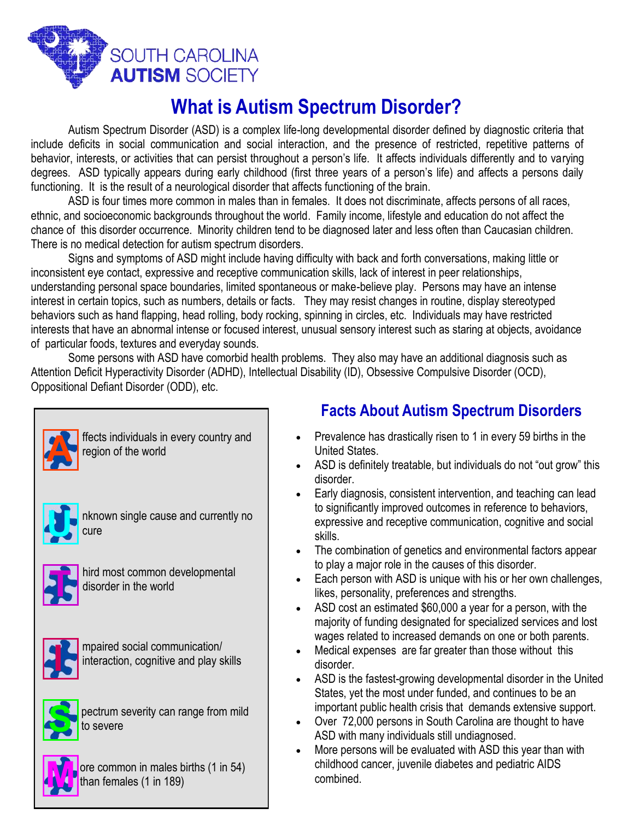

## **What is Autism Spectrum Disorder?**

Autism Spectrum Disorder (ASD) is a complex life-long developmental disorder defined by diagnostic criteria that include deficits in social communication and social interaction, and the presence of restricted, repetitive patterns of behavior, interests, or activities that can persist throughout a person's life. It affects individuals differently and to varying degrees. ASD typically appears during early childhood (first three years of a person's life) and affects a persons daily functioning. It is the result of a neurological disorder that affects functioning of the brain.

 ASD is four times more common in males than in females. It does not discriminate, affects persons of all races, ethnic, and socioeconomic backgrounds throughout the world. Family income, lifestyle and education do not affect the chance of this disorder occurrence. Minority children tend to be diagnosed later and less often than Caucasian children. There is no medical detection for autism spectrum disorders.

 Signs and symptoms of ASD might include having difficulty with back and forth conversations, making little or inconsistent eye contact, expressive and receptive communication skills, lack of interest in peer relationships, understanding personal space boundaries, limited spontaneous or make-believe play. Persons may have an intense interest in certain topics, such as numbers, details or facts. They may resist changes in routine, display stereotyped behaviors such as hand flapping, head rolling, body rocking, spinning in circles, etc. Individuals may have restricted interests that have an abnormal intense or focused interest, unusual sensory interest such as staring at objects, avoidance of particular foods, textures and everyday sounds.

 Some persons with ASD have comorbid health problems. They also may have an additional diagnosis such as Attention Deficit Hyperactivity Disorder (ADHD), Intellectual Disability (ID), Obsessive Compulsive Disorder (OCD), Oppositional Defiant Disorder (ODD), etc.

ffects individuals in every country and region of the world

nknown single cause and currently no cure



hird most common developmental disorder in the world



mpaired social communication/ interaction, cognitive and play skills



pectrum severity can range from mild to severe



ore common in males births (1 in 54) than females (1 in 189)

## **Facts About Autism Spectrum Disorders**

- Prevalence has drastically risen to 1 in every 59 births in the United States.
- ASD is definitely treatable, but individuals do not "out grow" this disorder.
- Early diagnosis, consistent intervention, and teaching can lead to significantly improved outcomes in reference to behaviors, expressive and receptive communication, cognitive and social skills.
- The combination of genetics and environmental factors appear to play a major role in the causes of this disorder.
- Each person with ASD is unique with his or her own challenges, likes, personality, preferences and strengths.
- ASD cost an estimated \$60,000 a year for a person, with the majority of funding designated for specialized services and lost wages related to increased demands on one or both parents.
- Medical expenses are far greater than those without this disorder.
- ASD is the fastest-growing developmental disorder in the United States, yet the most under funded, and continues to be an important public health crisis that demands extensive support.
- Over 72,000 persons in South Carolina are thought to have ASD with many individuals still undiagnosed.
- More persons will be evaluated with ASD this year than with childhood cancer, juvenile diabetes and pediatric AIDS combined.